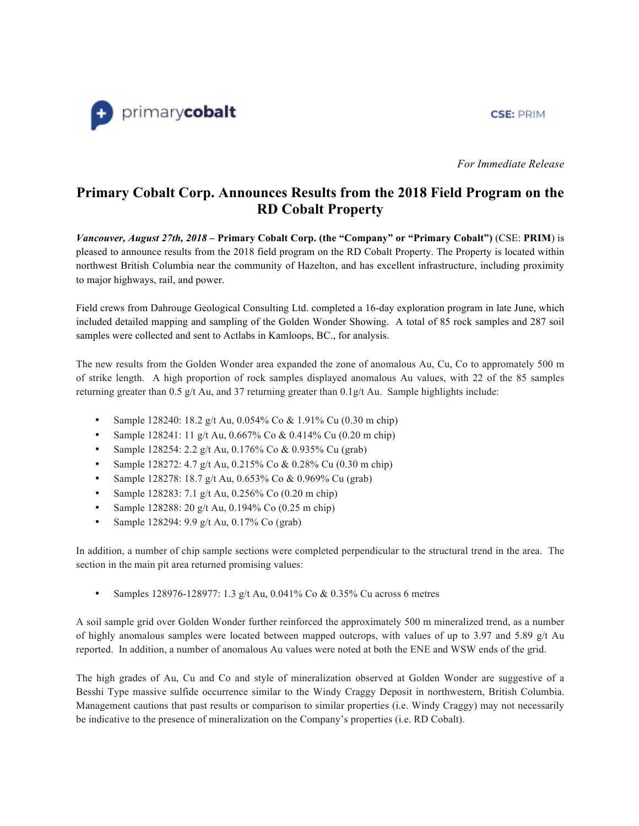### **CSE: PRIM**



*For Immediate Release*

# **Primary Cobalt Corp. Announces Results from the 2018 Field Program on the RD Cobalt Property**

*Vancouver, August 27th, 2018* **– Primary Cobalt Corp. (the "Company" or "Primary Cobalt")** (CSE: **PRIM**) is pleased to announce results from the 2018 field program on the RD Cobalt Property. The Property is located within northwest British Columbia near the community of Hazelton, and has excellent infrastructure, including proximity to major highways, rail, and power.

Field crews from Dahrouge Geological Consulting Ltd. completed a 16-day exploration program in late June, which included detailed mapping and sampling of the Golden Wonder Showing. A total of 85 rock samples and 287 soil samples were collected and sent to Actlabs in Kamloops, BC., for analysis.

The new results from the Golden Wonder area expanded the zone of anomalous Au, Cu, Co to appromately 500 m of strike length. A high proportion of rock samples displayed anomalous Au values, with 22 of the 85 samples returning greater than  $0.5$  g/t Au, and 37 returning greater than  $0.1$  g/t Au. Sample highlights include:

- Sample 128240: 18.2 g/t Au, 0.054% Co & 1.91% Cu (0.30 m chip)
- Sample 128241: 11 g/t Au, 0.667% Co & 0.414% Cu (0.20 m chip)
- Sample 128254: 2.2 g/t Au, 0.176% Co & 0.935% Cu (grab)
- Sample 128272: 4.7 g/t Au, 0.215% Co & 0.28% Cu (0.30 m chip)
- Sample 128278: 18.7 g/t Au, 0.653% Co & 0.969% Cu (grab)
- Sample 128283: 7.1 g/t Au, 0.256% Co (0.20 m chip)
- Sample 128288: 20 g/t Au, 0.194% Co (0.25 m chip)
- Sample 128294: 9.9 g/t Au, 0.17% Co (grab)

In addition, a number of chip sample sections were completed perpendicular to the structural trend in the area. The section in the main pit area returned promising values:

• Samples 128976-128977: 1.3 g/t Au, 0.041% Co & 0.35% Cu across 6 metres

A soil sample grid over Golden Wonder further reinforced the approximately 500 m mineralized trend, as a number of highly anomalous samples were located between mapped outcrops, with values of up to 3.97 and 5.89 g/t Au reported. In addition, a number of anomalous Au values were noted at both the ENE and WSW ends of the grid.

The high grades of Au, Cu and Co and style of mineralization observed at Golden Wonder are suggestive of a Besshi Type massive sulfide occurrence similar to the Windy Craggy Deposit in northwestern, British Columbia. Management cautions that past results or comparison to similar properties (i.e. Windy Craggy) may not necessarily be indicative to the presence of mineralization on the Company's properties (i.e. RD Cobalt).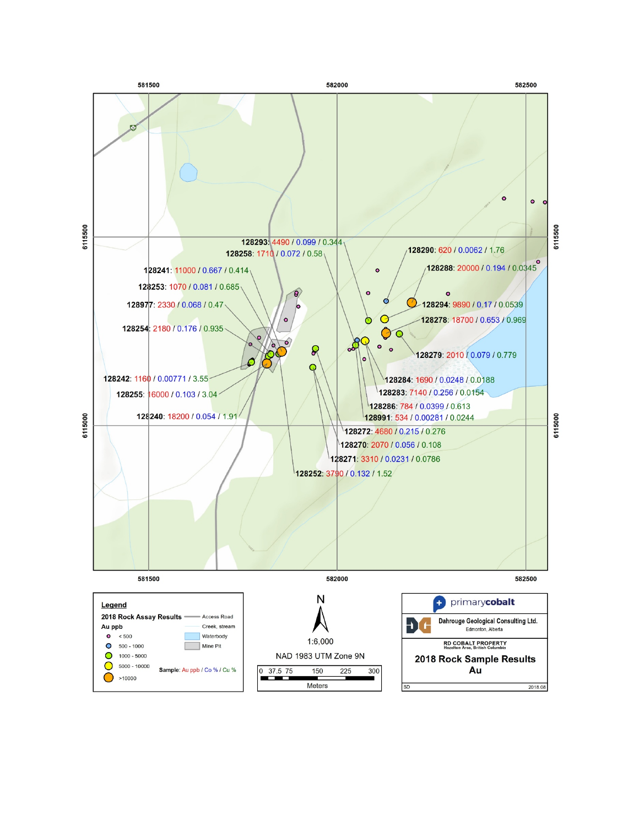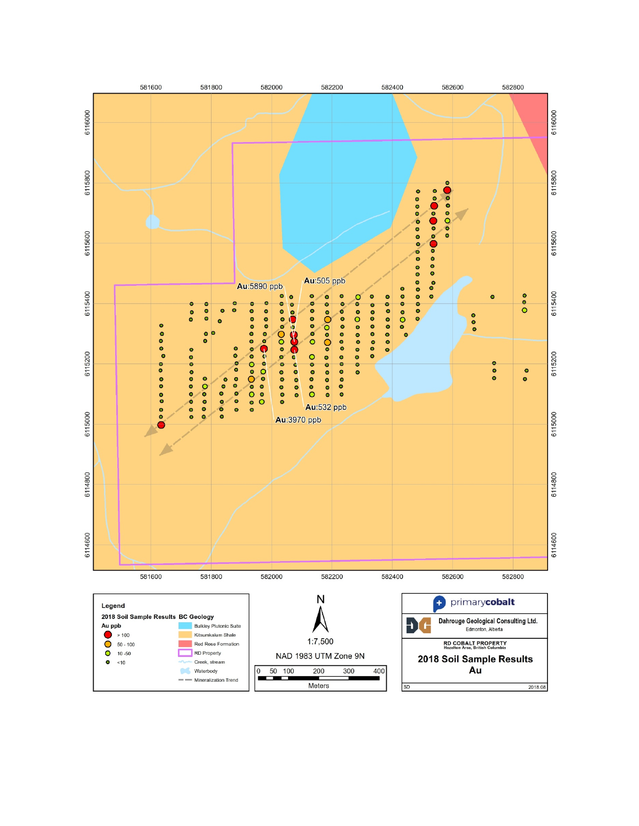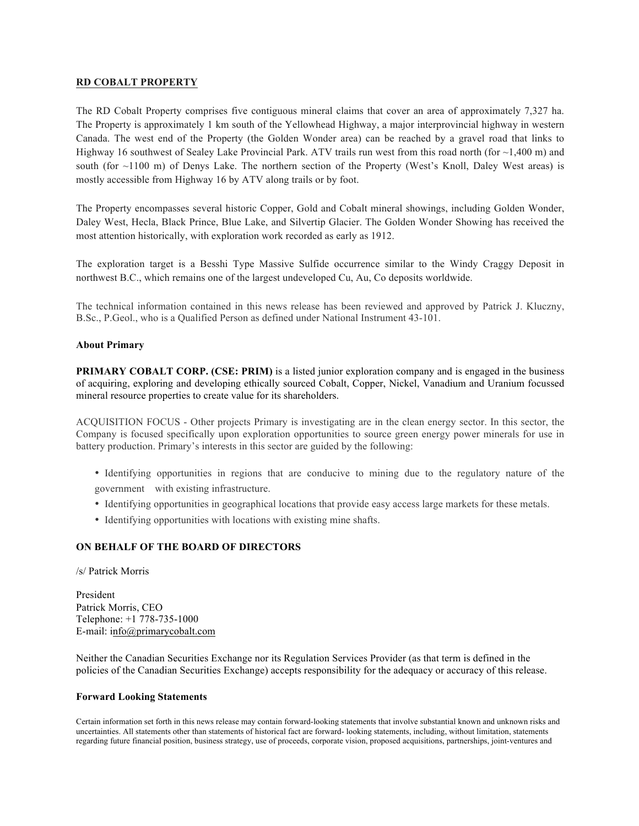#### **RD COBALT PROPERTY**

The RD Cobalt Property comprises five contiguous mineral claims that cover an area of approximately 7,327 ha. The Property is approximately 1 km south of the Yellowhead Highway, a major interprovincial highway in western Canada. The west end of the Property (the Golden Wonder area) can be reached by a gravel road that links to Highway 16 southwest of Sealey Lake Provincial Park. ATV trails run west from this road north (for  $\sim$ 1,400 m) and south (for ~1100 m) of Denys Lake. The northern section of the Property (West's Knoll, Daley West areas) is mostly accessible from Highway 16 by ATV along trails or by foot.

The Property encompasses several historic Copper, Gold and Cobalt mineral showings, including Golden Wonder, Daley West, Hecla, Black Prince, Blue Lake, and Silvertip Glacier. The Golden Wonder Showing has received the most attention historically, with exploration work recorded as early as 1912.

The exploration target is a Besshi Type Massive Sulfide occurrence similar to the Windy Craggy Deposit in northwest B.C., which remains one of the largest undeveloped Cu, Au, Co deposits worldwide.

The technical information contained in this news release has been reviewed and approved by Patrick J. Kluczny, B.Sc., P.Geol., who is a Qualified Person as defined under National Instrument 43-101.

#### **About Primary**

**PRIMARY COBALT CORP.** (CSE: PRIM) is a listed junior exploration company and is engaged in the business of acquiring, exploring and developing ethically sourced Cobalt, Copper, Nickel, Vanadium and Uranium focussed mineral resource properties to create value for its shareholders.

ACQUISITION FOCUS - Other projects Primary is investigating are in the clean energy sector. In this sector, the Company is focused specifically upon exploration opportunities to source green energy power minerals for use in battery production. Primary's interests in this sector are guided by the following:

- Identifying opportunities in regions that are conducive to mining due to the regulatory nature of the government with existing infrastructure.
- Identifying opportunities in geographical locations that provide easy access large markets for these metals.
- Identifying opportunities with locations with existing mine shafts.

## **ON BEHALF OF THE BOARD OF DIRECTORS**

/s/ Patrick Morris

President Patrick Morris, CEO Telephone: +1 778-735-1000 E-mail: [info@primarycobalt.com](mailto:info@primarycobalt.com)

Neither the Canadian Securities Exchange nor its Regulation Services Provider (as that term is defined in the policies of the Canadian Securities Exchange) accepts responsibility for the adequacy or accuracy of this release.

#### **Forward Looking Statements**

Certain information set forth in this news release may contain forward-looking statements that involve substantial known and unknown risks and uncertainties. All statements other than statements of historical fact are forward- looking statements, including, without limitation, statements regarding future financial position, business strategy, use of proceeds, corporate vision, proposed acquisitions, partnerships, joint-ventures and